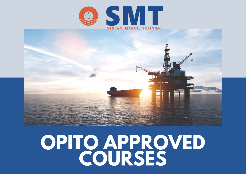



# **OPITO APPROVED COURSES**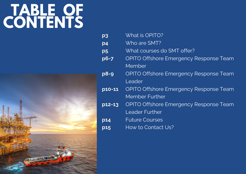# **TABLE OF CONTENTS**



| $p_3$               | What is OPITO?                                |
|---------------------|-----------------------------------------------|
| p4                  | Who are SMT?                                  |
| p <sub>5</sub>      | What courses do SMT offer?                    |
| $p6-7$              | <b>OPITO Offshore Emergency Response Team</b> |
|                     | Member                                        |
| $p8-9$              | <b>OPITO Offshore Emergency Response Team</b> |
|                     | Leader                                        |
| $\overline{p10-11}$ | <b>OPITO Offshore Emergency Response Team</b> |
|                     | Member Further                                |
| p12-13              | <b>OPITO Offshore Emergency Response Team</b> |
|                     | Leader Further                                |
| <b>p14</b>          | <b>Future Courses</b>                         |
| p15                 | How to Contact Us?                            |
|                     |                                               |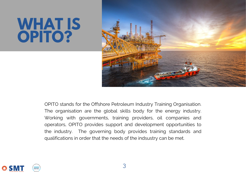# **WHAT IS OPITO?**



OPITO stands for the Offshore Petroleum Industry Training Organisation. The organisation are the global skills body for the energy industry. Working with governments, training providers, oil companies and operators, OPITO provides support and development opportunities to the industry. The governing body provides training standards and qualifications in order that the needs of the indsustry can be met.

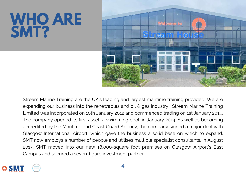# **WHO ARE SMT?**



Stream Marine Training are the UK's leading and largest maritime training provider. We are expanding our business into the renewables and oil & gas industry. Stream Marine Training Limited was incorporated on 10th January 2012 and commenced trading on 1st January 2014. The company opened its first asset, a swimming pool, in January 2014. As well as becoming accredited by the Maritime and Coast Guard Agency, the company signed a major deal with Glasgow International Airport, which gave the business a solid base on which to expand. SMT now employs a number of people and utilises multiple specialist consultants. In August 2017, SMT moved into our new 18,000-square foot premises on Glasgow Airport's East Campus and secured a seven-figure investment partner.

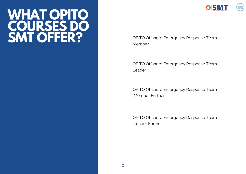## **WHAT OPITO COURSES DO SMT OFFER?**



OPITO Offshore Emergency Response Team Member

OPITO Offshore Emergency Response Team Leader

OPITO Offshore Emergency Response Team Member Further

OPITO Offshore Emergency Response Team Leader Further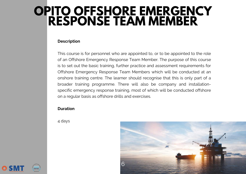## **OPITO OFFSHORE [EMERGENCY](https://streammarinetraining.com/arlo/events/124-opito-offshore-emergency-response-team-member-oertm/) RESPONSE TEAM MEMBER**

#### **Description**

This course is for personnel who are appointed to, or to be appointed to the role of an Offshore Emergency Response Team Member. The purpose of this course is to set out the basic training, further practice and assessment requirements for Offshore Emergency Response Team Members which will be conducted at an onshore training centre. The learner should recognise that this is only part of a broader training programme. There will also be company and installationspecific emergency response training, most of which will be conducted offshore on a regular basis as offshore drills and exercises.

#### **Duration**

4 days



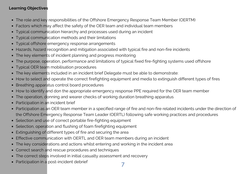- The role and key responsibilities of the Offshore Emergency Response Team Member (OERTM)
- Factors which may affect the safety of the OER team and individual team members  $\bullet$
- Typical communication hierarchy and processes used during an incident  $\bullet$
- Typical communication methods and their limitations  $\bullet$
- Typical offshore emergency response arrangements  $\bullet$
- Hazards, hazard recognition and mitigation associated with typical fire and non-fire incidents  $\bullet$
- The key elements of incident planning and progress monitoring  $\bullet$
- The purpose, operation, performance and limitations of typical fixed fire-fighting systems used offshore  $\bullet$
- Typical OER team mobilisation procedures  $\bullet$
- The key elements included in an incident brief Delegate must be able to demonstrate:  $\bullet$
- How to select and operate the correct firefighting equipment and media to extinguish different types of fires  $\bullet$
- Breathing apparatus control board procedures  $\bullet$
- How to identify and don the appropriate emergency response PPE required for the OER team member  $\bullet$
- The operation, donning and wearer checks of working duration breathing apparatus  $\bullet$
- Participation in an incident brief  $\bullet$
- Participation as an OER team member in a specified range of fire and non-fire related incidents under the direction of  $\bullet$ the Offshore Emergency Response Team Leader (OERTL) following safe working practices and procedures
- Selection and use of correct portable fire-fighting equipment
- Selection, operation and flushing of foam firefighting equipment
- Extinguishing of different types of fire and securing the area  $\bullet$
- Effective communication with OERTL and OER team members during an incident  $\bullet$
- The key considerations and actions whilst entering and working in the incident area  $\bullet$
- Correct search and rescue procedures and techniques  $\bullet$
- The correct steps involved in initial casualty assessment and recovery  $\bullet$
- Participation in a post-incident debrief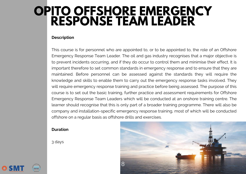## **OPITO OFFSHORE [EMERGENCY](https://streammarinetraining.com/arlo/events/123-opito-offshore-emergency-response-team-leader-oertl/) RESPONSE TEAM LEADER**

#### **Description**

This course is for personnel who are appointed to, or to be appointed to, the role of an Offshore Emergency Response Team Leader. The oil and gas industry recognises that a major objective is to prevent incidents occurring, and if they do occur to control them and minimise their effect. It is important therefore to set common standards in emergency response and to ensure that they are maintained. Before personnel can be assessed against the standards they will require the knowledge and skills to enable them to carry out the emergency response tasks involved. They will require emergency response training and practice before being assessed. The purpose of this course is to set out the basic training, further practice and assessment requirements for Offshore Emergency Response Team Leaders which will be conducted at an onshore training centre. The learner should recognise that this is only part of a broader training programme. There will also be company and installation-specific emergency response training, most of which will be conducted offshore on a regular basis as offshore drills and exercises.

### **Duration**

3 days



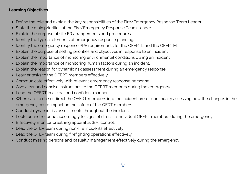- Define the role and explain the key responsibilities of the Fire/Emergency Response Team Leader.
- State the main priorities of the Fire/Emergency Response Team Leader.  $\bullet$
- Explain the purpose of site ER arrangements and procedures.  $\bullet$
- Identify the typical elements of emergency response planning.  $\bullet$
- Identify the emergency response PPE requirements for the OFERTL and the OFERTM.  $\bullet$
- Explain the purpose of setting priorities and objectives in response to an incident.  $\bullet$
- Explain the importance of monitoring environmental conditions during an incident.  $\bullet$
- Explain the importance of monitoring human factors during an incident.  $\bullet$
- Explain the reason for dynamic risk assessment during an emergency response  $\bullet$
- Learner tasks to the OFERT members effectively.
- Communicate effectively with relevant emergency response personnel.  $\bullet$
- Give clear and concise instructions to the OFERT members during the emergency.
- Lead the OFERT in a clear and confident manner.
- When safe to do so, direct the OFERT members into the incident area continually assessing how the changes in the emergency could impact on the safety of the OERT members.
- Conduct dynamic risk assessments throughout the incident.
- Look for and respond accordingly to signs of stress in individual OFERT members during the emergency.
- Effectively monitor breathing apparatus (BA) control.  $\bullet$
- Lead the OFER team during non-fire incidents effectively.
- Lead the OFER team during firefighting operations effectively.
- Conduct missing persons and casualty management effectively during the emergency.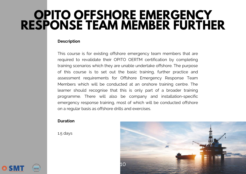## **OPITO OFFSHORE [EMERGENCY](https://streammarinetraining.com/arlo/events/122-opito-offshore-emergency-response-team-member-further-foertm/) RESPONSE TEAM MEMBER FURTHER**

#### **Description**

This course is for existing offshore emergency team members that are required to revalidate their OPITO OERTM certification by completing training scenarios which they are unable undertake offshore. The purpose of this course is to set out the basic training, further practice and assessment requirements for Offshore Emergency Response Team Members which will be conducted at an onshore training centre. The learner should recognise that this is only part of a broader training programme. There will also be company and installation-specific emergency response training, most of which will be conducted offshore on a regular basis as offshore drills and exercises.

### **Duration**

1.5 days



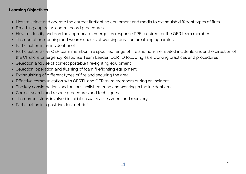- How to select and operate the correct firefighting equipment and media to extinguish different types of fires
- Breathing apparatus control board procedures  $\bullet$
- How to identify and don the appropriate emergency response PPE required for the OER team member  $\bullet$
- The operation, donning and wearer checks of working duration breathing apparatus  $\bullet$
- Participation in an incident brief  $\bullet$
- Participation as an OER team member in a specified range of fire and non-fire related incidents under the direction of the Offshore Emergency Response Team Leader (OERTL) following safe working practices and procedures
- Selection and use of correct portable fire-fighting equipment
- Selection, operation and flushing of foam firefighting equipment  $\bullet$
- Extinguishing of different types of fire and securing the area  $\bullet$
- Effective communication with OERTL and OER team members during an incident  $\bullet$
- The key considerations and actions whilst entering and working in the incident area  $\bullet$
- Correct search and rescue procedures and techniques  $\bullet$
- The correct steps involved in initial casualty assessment and recovery  $\bullet$
- Participation in a post-incident debrief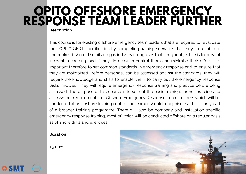### **Description OPITO OFFSHORE [EMERGENCY](https://streammarinetraining.com/arlo/events/121-opito-offshore-emergency-response-team-leader-further-foertl/) RESPONSE TEAM LEADER FURTHER**

This course is for existing offshore emergency team leaders that are required to revalidate their OPITO OERTL certification by completing training scenarios that they are unable to undertake offshore. The oil and gas industry recognises that a major objective is to prevent incidents occurring, and if they do occur to control them and minimise their effect. It is important therefore to set common standards in emergency response and to ensure that they are maintained. Before personnel can be assessed against the standards, they will require the knowledge and skills to enable them to carry out the emergency response tasks involved. They will require emergency response training and practice before being assessed. The purpose of this course is to set out the basic training, further practice and assessment requirements for Offshore Emergency Response Team Leaders which will be conducted at an onshore training centre. The learner should recognise that this is only part of a broader training programme. There will also be company and installation-specific emergency response training, most of which will be conducted offshore on a regular basis as offshore drills and exercises.

### **Duration**

1.5 days



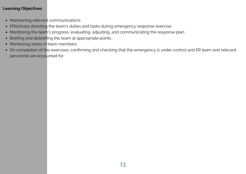- Maintaining relevant communications
- Effectively directing the team's duties and tasks during emergency response exercise
- Monitoring the team's progress, evaluating, adjusting, and communicating the response plan
- Briefing and debriefing the team at appropriate points
- Monitoring stress in team members
- On completion of the exercises, confirming and checking that the emergency is under control and ER team and relevant personnel are accounted for.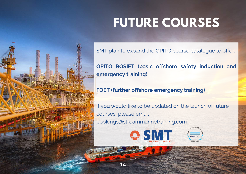## **FUTURE COURSES**

SMT plan to expand the OPITO course catalogue to offer:

**OPITO BOSIET (basic offshore safety induction and emergency training)**

### **FOET (further offshore emergency training)**

If you would like to be updated on the launch of future courses, please email bookings@streammarinetraining.com



14